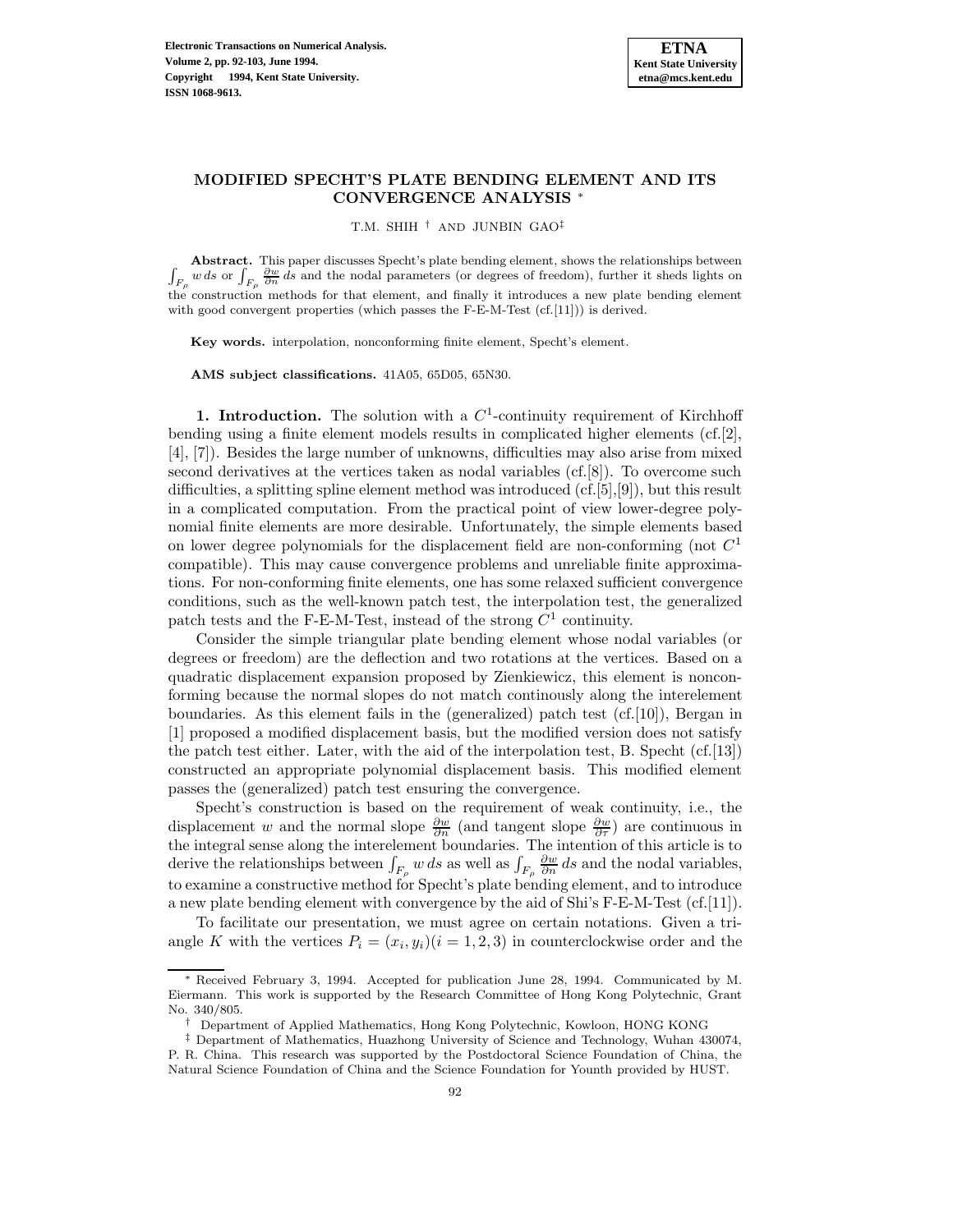# **MODIFIED SPECHT'S PLATE BENDING ELEMENT AND ITS CONVERGENCE ANALYSIS** <sup>∗</sup>

T.M. SHIH † AND JUNBIN GAO‡

 $\int_{F_{\rho}} \frac{\partial w}{\partial n} ds$  or  $\int_{F_{\rho}} \frac{\partial w}{\partial n} ds$  and the nodal parameters (or degrees of freedom), further it sheds lights on **Abstract.** This paper discusses Specht's plate bending element, shows the relationships between the construction methods for that element, and finally it introduces a new plate bending element with good convergent properties (which passes the F-E-M-Test (cf.[11])) is derived.

**Key words.** interpolation, nonconforming finite element, Specht's element.

**AMS subject classifications.** 41A05, 65D05, 65N30.

**1. Introduction.** The solution with a  $C<sup>1</sup>$ -continuity requirement of Kirchhoff bending using a finite element models results in complicated higher elements (cf.[2], [4], [7]). Besides the large number of unknowns, difficulties may also arise from mixed second derivatives at the vertices taken as nodal variables (cf.[8]). To overcome such difficulties, a splitting spline element method was introduced (cf.[5],[9]), but this result in a complicated computation. From the practical point of view lower-degree polynomial finite elements are more desirable. Unfortunately, the simple elements based on lower degree polynomials for the displacement field are non-conforming (not  $C<sup>1</sup>$ compatible). This may cause convergence problems and unreliable finite approximations. For non-conforming finite elements, one has some relaxed sufficient convergence conditions, such as the well-known patch test, the interpolation test, the generalized patch tests and the F-E-M-Test, instead of the strong  $C^1$  continuity.

Consider the simple triangular plate bending element whose nodal variables (or degrees or freedom) are the deflection and two rotations at the vertices. Based on a quadratic displacement expansion proposed by Zienkiewicz, this element is nonconforming because the normal slopes do not match continously along the interelement boundaries. As this element fails in the (generalized) patch test  $(cf.[10])$ , Bergan in [1] proposed a modified displacement basis, but the modified version does not satisfy the patch test either. Later, with the aid of the interpolation test, B. Specht (cf.[13]) constructed an appropriate polynomial displacement basis. This modified element passes the (generalized) patch test ensuring the convergence.

Specht's construction is based on the requirement of weak continuity, i.e., the displacement w and the normal slope  $\frac{\partial w}{\partial n}$  (and tangent slope  $\frac{\partial w}{\partial \tau}$ ) are continuous in the integral sense along the interelement boundaries. The intention of this article is to derive the relationships between  $\int_{F_{\rho}} w ds$  as well as  $\int_{F_{\rho}} \frac{\partial w}{\partial n} ds$  and the nodal variables, to examine a constructive method for Specht's plate bending element, and to introduce a new plate bending element with convergence by the aid of Shi's F-E-M-Test (cf.[11]).

To facilitate our presentation, we must agree on certain notations. Given a triangle K with the vertices  $P_i = (x_i, y_i)(i = 1, 2, 3)$  in counterclockwise order and the

Received February 3, 1994. Accepted for publication June 28, 1994. Communicated by M. Eiermann. This work is supported by the Research Committee of Hong Kong Polytechnic, Grant No. 340/805.

<sup>†</sup> Department of Applied Mathematics, Hong Kong Polytechnic, Kowloon, HONG KONG

<sup>‡</sup> Department of Mathematics, Huazhong University of Science and Technology, Wuhan 430074, P. R. China. This research was supported by the Postdoctoral Science Foundation of China, the Natural Science Foundation of China and the Science Foundation for Younth provided by HUST.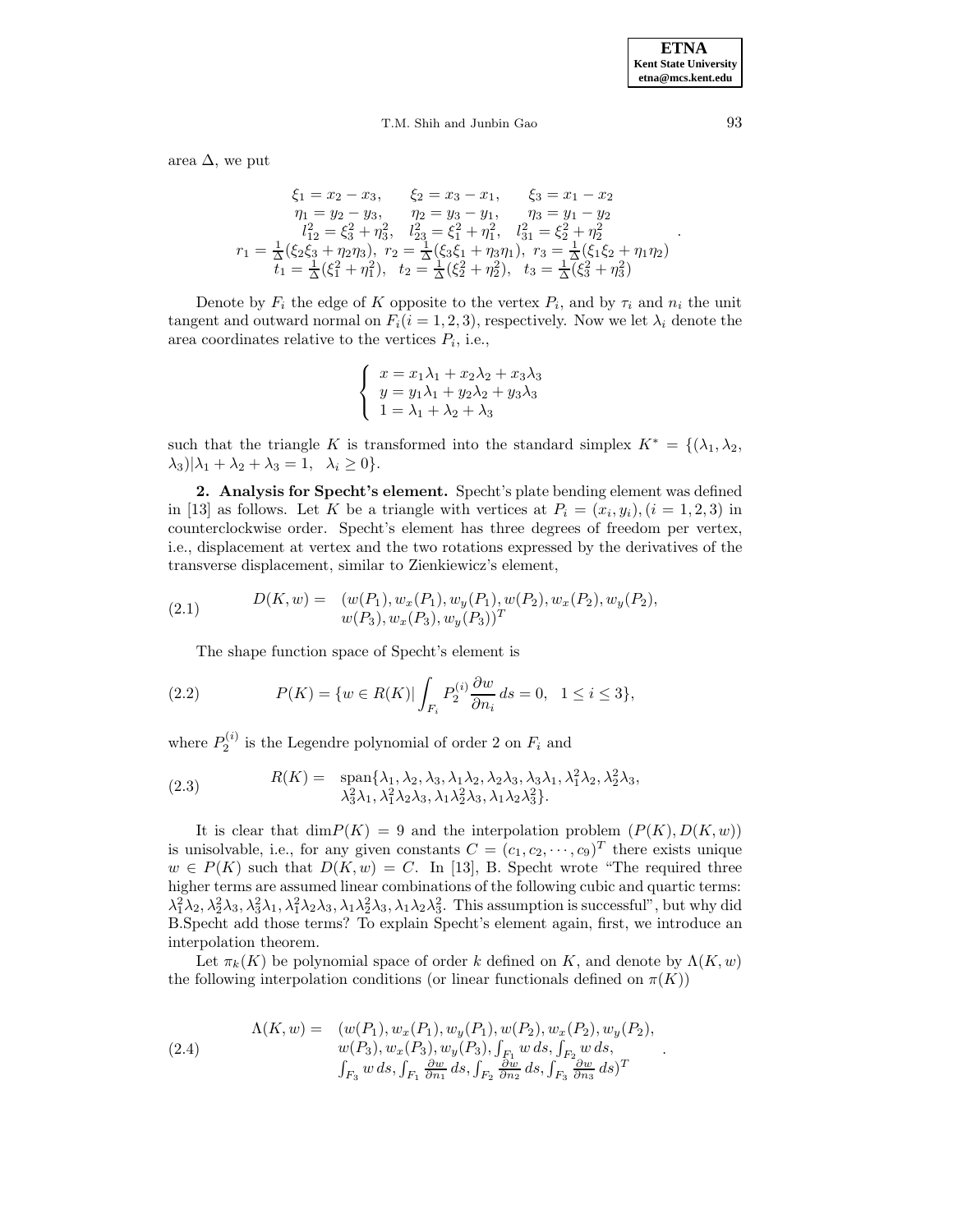area  $\Delta$ , we put

$$
\xi_1 = x_2 - x_3, \qquad \xi_2 = x_3 - x_1, \qquad \xi_3 = x_1 - x_2
$$
  
\n
$$
\eta_1 = y_2 - y_3, \qquad \eta_2 = y_3 - y_1, \qquad \eta_3 = y_1 - y_2
$$
  
\n
$$
l_{12}^2 = \xi_3^2 + \eta_3^2, \quad l_{23}^2 = \xi_1^2 + \eta_1^2, \quad l_{31}^2 = \xi_2^2 + \eta_2^2
$$
  
\n
$$
r_1 = \frac{1}{\Delta}(\xi_2 \xi_3 + \eta_2 \eta_3), \quad r_2 = \frac{1}{\Delta}(\xi_3 \xi_1 + \eta_3 \eta_1), \quad r_3 = \frac{1}{\Delta}(\xi_1 \xi_2 + \eta_1 \eta_2)
$$
  
\n
$$
t_1 = \frac{1}{\Delta}(\xi_1^2 + \eta_1^2), \quad t_2 = \frac{1}{\Delta}(\xi_2^2 + \eta_2^2), \quad t_3 = \frac{1}{\Delta}(\xi_3^2 + \eta_3^2)
$$

Denote by  $F_i$  the edge of K opposite to the vertex  $P_i$ , and by  $\tau_i$  and  $n_i$  the unit tangent and outward normal on  $F_i(i = 1, 2, 3)$ , respectively. Now we let  $\lambda_i$  denote the area coordinates relative to the vertices  $P_i$ , i.e.,

$$
\begin{cases}\nx = x_1\lambda_1 + x_2\lambda_2 + x_3\lambda_3 \\
y = y_1\lambda_1 + y_2\lambda_2 + y_3\lambda_3 \\
1 = \lambda_1 + \lambda_2 + \lambda_3\n\end{cases}
$$

such that the triangle K is transformed into the standard simplex  $K^* = \{(\lambda_1, \lambda_2,$  $\lambda_3$ ) $|\lambda_1 + \lambda_2 + \lambda_3 = 1, \lambda_i \geq 0$ .

**2. Analysis for Specht's element.** Specht's plate bending element was defined in [13] as follows. Let K be a triangle with vertices at  $P_i = (x_i, y_i), (i = 1, 2, 3)$  in counterclockwise order. Specht's element has three degrees of freedom per vertex, i.e., displacement at vertex and the two rotations expressed by the derivatives of the transverse displacement, similar to Zienkiewicz's element,

(2.1) 
$$
D(K, w) = (w(P_1), w_x(P_1), w_y(P_1), w(P_2), w_x(P_2), w_y(P_2), w_y(P_3), w_x(P_3), w_y(P_3))^T
$$

The shape function space of Specht's element is

(2.2) 
$$
P(K) = \{ w \in R(K) | \int_{F_i} P_2^{(i)} \frac{\partial w}{\partial n_i} ds = 0, 1 \le i \le 3 \},
$$

where  $P_2^{(i)}$  is the Legendre polynomial of order 2 on  $F_i$  and

(2.3) 
$$
R(K) = \text{span}\{\lambda_1, \lambda_2, \lambda_3, \lambda_1\lambda_2, \lambda_2\lambda_3, \lambda_3\lambda_1, \lambda_1^2\lambda_2, \lambda_2^2\lambda_3, \lambda_3^2\lambda_1, \lambda_1^2\lambda_2\lambda_3, \lambda_1\lambda_2^2\lambda_3, \lambda_1\lambda_2\lambda_3^2\}.
$$

It is clear that  $\dim P(K) = 9$  and the interpolation problem  $(P(K), D(K, w))$ is unisolvable, i.e., for any given constants  $C = (c_1, c_2, \dots, c_9)^T$  there exists unique  $w \in P(K)$  such that  $D(K, w) = C$ . In [13], B. Specht wrote "The required three higher terms are assumed linear combinations of the following cubic and quartic terms:  $\lambda_1^2\lambda_2, \lambda_2^2\lambda_3, \lambda_3^2\lambda_1, \lambda_1^2\lambda_2\lambda_3, \lambda_1\lambda_2^2\lambda_3, \lambda_1\lambda_2\lambda_3^2$ . This assumption is successful", but why did B.Specht add those terms? To explain Specht's element again, first, we introduce an interpolation theorem.

Let  $\pi_k(K)$  be polynomial space of order k defined on K, and denote by  $\Lambda(K, w)$ the following interpolation conditions (or linear functionals defined on  $\pi(K)$ )

(2.4) 
$$
\Lambda(K, w) = \begin{array}{ll} (w(P_1), w_x(P_1), w_y(P_1), w(P_2), w_x(P_2), w_y(P_2), \\ w(P_3), w_x(P_3), w_y(P_3), \int_{F_1} w ds, \int_{F_2} w ds, \\ \int_{F_3} w ds, \int_{F_1} \frac{\partial w}{\partial n_1} ds, \int_{F_2} \frac{\partial w}{\partial n_2} ds, \int_{F_3} \frac{\partial w}{\partial n_3} ds)^T \end{array}
$$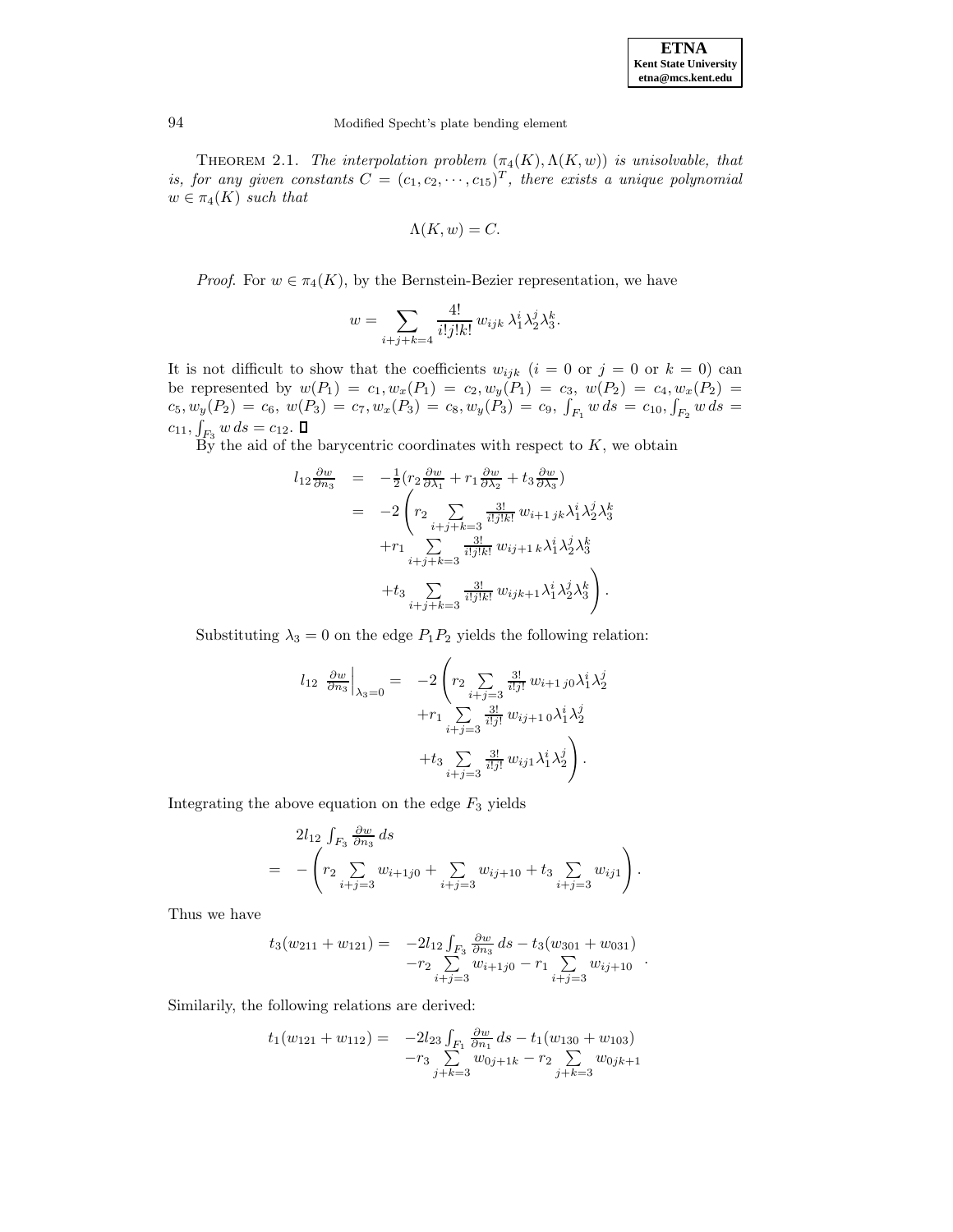| <b>ETNA</b>                  |
|------------------------------|
| <b>Kent State University</b> |
| etna@mcs.kent.edu            |

THEOREM 2.1. The interpolation problem  $(\pi_4(K), \Lambda(K, w))$  is unisolvable, that is, for any given constants  $C = (c_1, c_2, \dots, c_{15})^T$ , there exists a unique polynomial  $w \in \pi_4(K)$  such that

$$
\Lambda(K, w) = C.
$$

*Proof.* For  $w \in \pi_4(K)$ , by the Bernstein-Bezier representation, we have

$$
w = \sum_{i+j+k=4} \frac{4!}{i!j!k!} w_{ijk} \lambda_1^i \lambda_2^j \lambda_3^k.
$$

It is not difficult to show that the coefficients  $w_{ijk}$   $(i = 0 \text{ or } j = 0 \text{ or } k = 0)$  can be represented by  $w(P_1) = c_1, w_x(P_1) = c_2, w_y(P_1) = c_3, w(P_2) = c_4, w_x(P_2) = c_5$  $c_5, w_y(P_2) = c_6, w(P_3) = c_7, w_x(P_3) = c_8, w_y(P_3) = c_9, \int_{F_1} w \, ds = c_{10}, \int_{F_2} w \, ds = c_{10}$  $c_{11}, \int_{F_3} w \, ds = c_{12}.$ 

By the aid of the barycentric coordinates with respect to  $K$ , we obtain

$$
l_{12} \frac{\partial w}{\partial n_3} = -\frac{1}{2} \left( r_2 \frac{\partial w}{\partial \lambda_1} + r_1 \frac{\partial w}{\partial \lambda_2} + t_3 \frac{\partial w}{\partial \lambda_3} \right)
$$
  

$$
= -2 \left( r_2 \sum_{i+j+k=3} \frac{3!}{i!j!k!} w_{i+1jk} \lambda_1^i \lambda_2^j \lambda_3^k + r_1 \sum_{i+j+k=3} \frac{3!}{i!j!k!} w_{ij+1,k} \lambda_1^i \lambda_2^j \lambda_3^k + t_3 \sum_{i+j+k=3} \frac{3!}{i!j!k!} w_{ijk+1} \lambda_1^i \lambda_2^j \lambda_3^k \right).
$$

Substituting  $\lambda_3 = 0$  on the edge  $P_1P_2$  yields the following relation:

$$
l_{12} \frac{\partial w}{\partial n_3}\Big|_{\lambda_3=0} = -2 \left( r_2 \sum_{i+j=3} \frac{3!}{i!j!} w_{i+1 j0} \lambda_1^i \lambda_2^j + r_1 \sum_{i+j=3} \frac{3!}{i!j!} w_{ij+10} \lambda_1^i \lambda_2^j + t_3 \sum_{i+j=3} \frac{3!}{i!j!} w_{ij1} \lambda_1^i \lambda_2^j \right).
$$

Integrating the above equation on the edge  $F_3$  yields

$$
2l_{12} \int_{F_3} \frac{\partial w}{\partial n_3} ds
$$
  
= 
$$
- \left( r_2 \sum_{i+j=3} w_{i+1j0} + \sum_{i+j=3} w_{ij+10} + t_3 \sum_{i+j=3} w_{ij1} \right).
$$

Thus we have

$$
t_3(w_{211} + w_{121}) = -2l_{12} \int_{F_3} \frac{\partial w}{\partial n_3} ds - t_3(w_{301} + w_{031}) -r_2 \sum_{i+j=3} w_{i+j0} - r_1 \sum_{i+j=3} w_{ij+10}.
$$

Similarily, the following relations are derived:

$$
t_1(w_{121} + w_{112}) = -2l_{23} \int_{F_1} \frac{\partial w}{\partial n_1} ds - t_1(w_{130} + w_{103}) -r_3 \sum_{j+k=3}^{n} w_{0j+1k} - r_2 \sum_{j+k=3}^{n} w_{0jk+1}
$$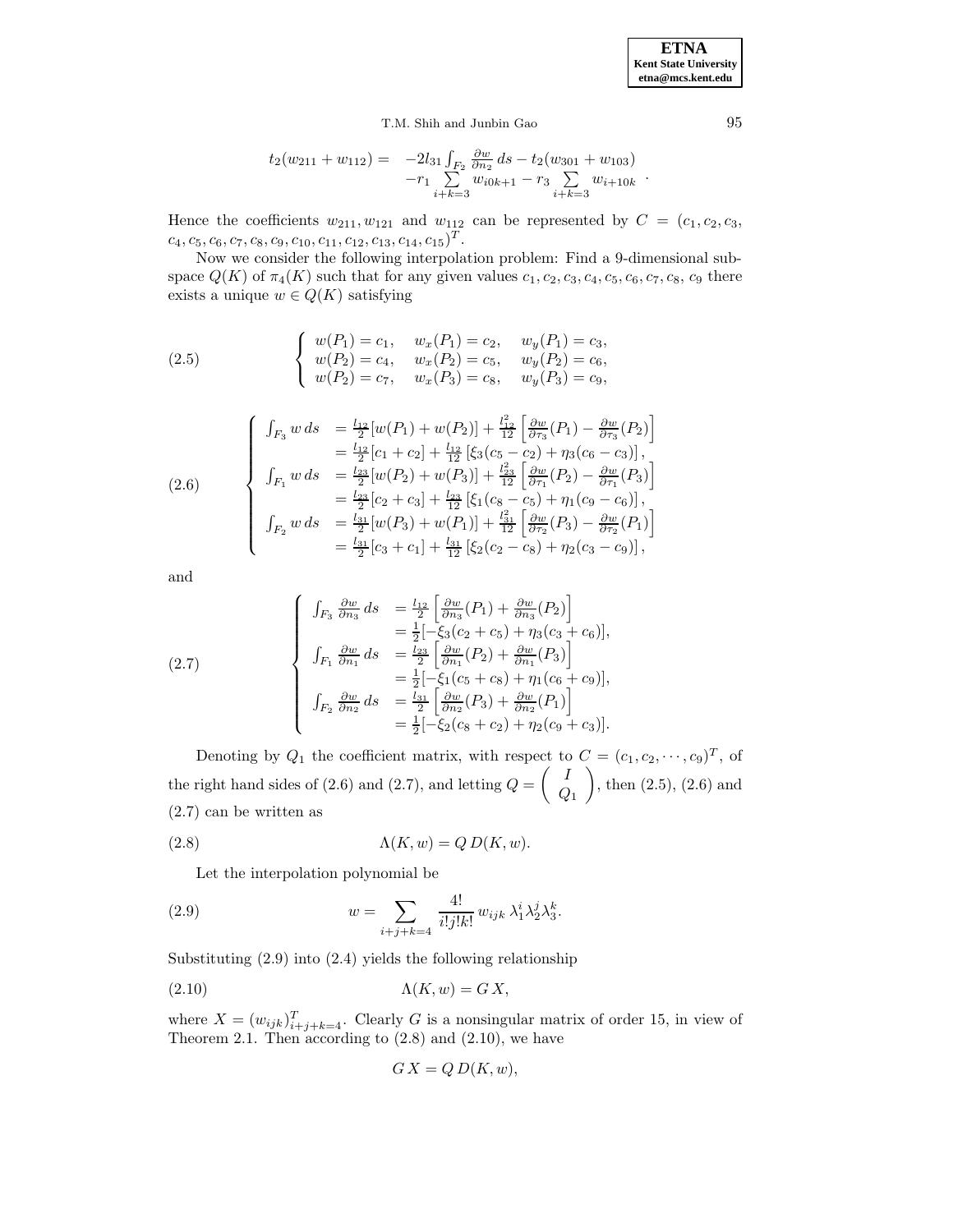**ETNA Kent State University etna@mcs.kent.edu**

T.M. Shih and Junbin Gao 95

$$
t_2(w_{211} + w_{112}) = -2l_{31} \int_{F_2} \frac{\partial w}{\partial n_2} ds - t_2(w_{301} + w_{103}) -r_1 \sum_{i+k=3} w_{i0k+1} - r_3 \sum_{i+k=3} w_{i+10k}.
$$

Hence the coefficients  $w_{211}, w_{121}$  and  $w_{112}$  can be represented by  $C = (c_1, c_2, c_3,$  $c_4, c_5, c_6, c_7, c_8, c_9, c_{10}, c_{11}, c_{12}, c_{13}, c_{14}, c_{15})^T$ .

Now we consider the following interpolation problem: Find a 9-dimensional subspace  $Q(K)$  of  $\pi_4(K)$  such that for any given values  $c_1, c_2, c_3, c_4, c_5, c_6, c_7, c_8, c_9$  there exists a unique  $w \in Q(K)$  satisfying

(2.5) 
$$
\begin{cases} w(P_1) = c_1, & w_x(P_1) = c_2, & w_y(P_1) = c_3, \\ w(P_2) = c_4, & w_x(P_2) = c_5, & w_y(P_2) = c_6, \\ w(P_2) = c_7, & w_x(P_3) = c_8, & w_y(P_3) = c_9, \end{cases}
$$

(2.6)  
\n
$$
\begin{cases}\n\int_{F_3} w \, ds & = \frac{l_{12}}{2} [w(P_1) + w(P_2)] + \frac{l_{12}^2}{12} \left[ \frac{\partial w}{\partial \tau_3} (P_1) - \frac{\partial w}{\partial \tau_3} (P_2) \right] \\
& = \frac{l_{12}}{2} [c_1 + c_2] + \frac{l_{12}}{12} \left[ \xi_3 (c_5 - c_2) + \eta_3 (c_6 - c_3) \right], \\
\int_{F_1} w \, ds & = \frac{l_{23}}{2} [w(P_2) + w(P_3)] + \frac{l_{23}}{12} \left[ \frac{\partial w}{\partial \tau_1} (P_2) - \frac{\partial w}{\partial \tau_1} (P_3) \right] \\
& = \frac{l_{23}}{2} [c_2 + c_3] + \frac{l_{23}}{12} \left[ \xi_1 (c_8 - c_5) + \eta_1 (c_9 - c_6) \right], \\
\int_{F_2} w \, ds & = \frac{l_{31}}{2} [w(P_3) + w(P_1)] + \frac{l_{31}}{12} \left[ \frac{\partial w}{\partial \tau_2} (P_3) - \frac{\partial w}{\partial \tau_2} (P_1) \right] \\
& = \frac{l_{31}}{2} [c_3 + c_1] + \frac{l_{31}}{12} \left[ \xi_2 (c_2 - c_8) + \eta_2 (c_3 - c_9) \right],\n\end{cases}
$$

and

(2.7)  
\n
$$
\begin{cases}\n\int_{F_3} \frac{\partial w}{\partial n_3} ds &= \frac{l_{12}}{2} \left[ \frac{\partial w}{\partial n_3} (P_1) + \frac{\partial w}{\partial n_3} (P_2) \right] \\
&= \frac{1}{2} [-\xi_3 (c_2 + c_5) + \eta_3 (c_3 + c_6)], \\
\int_{F_1} \frac{\partial w}{\partial n_1} ds &= \frac{l_{23}}{2} \left[ \frac{\partial w}{\partial n_1} (P_2) + \frac{\partial w}{\partial n_1} (P_3) \right] \\
&= \frac{1}{2} [-\xi_1 (c_5 + c_8) + \eta_1 (c_6 + c_9)], \\
\int_{F_2} \frac{\partial w}{\partial n_2} ds &= \frac{l_{31}}{2} \left[ \frac{\partial w}{\partial n_2} (P_3) + \frac{\partial w}{\partial n_2} (P_1) \right] \\
&= \frac{1}{2} [-\xi_2 (c_8 + c_2) + \eta_2 (c_9 + c_3)].\n\end{cases}
$$

Denoting by  $Q_1$  the coefficient matrix, with respect to  $C = (c_1, c_2, \dots, c_9)^T$ , of the right hand sides of (2.6) and (2.7), and letting  $Q = \begin{pmatrix} I & \overline{I} \\ 0 & \overline{I} \end{pmatrix}$  $\,_{1}$  $\overline{\phantom{0}}$ , then (2.5), (2.6) and (2.7) can be written as

(2.8) 
$$
\Lambda(K, w) = Q D(K, w).
$$

Let the interpolation polynomial be

(2.9) 
$$
w = \sum_{i+j+k=4} \frac{4!}{i!j!k!} w_{ijk} \lambda_1^i \lambda_2^j \lambda_3^k.
$$

Substituting (2.9) into (2.4) yields the following relationship

$$
(2.10)\quad \Lambda(K, w) = G X,
$$

where  $X = (w_{ijk})_{i+j+k=4}^T$ . Clearly G is a nonsingular matrix of order 15, in view of Theorem 2.1. Then according to  $(2.8)$  and  $(2.10)$ , we have

$$
GX = Q D(K, w),
$$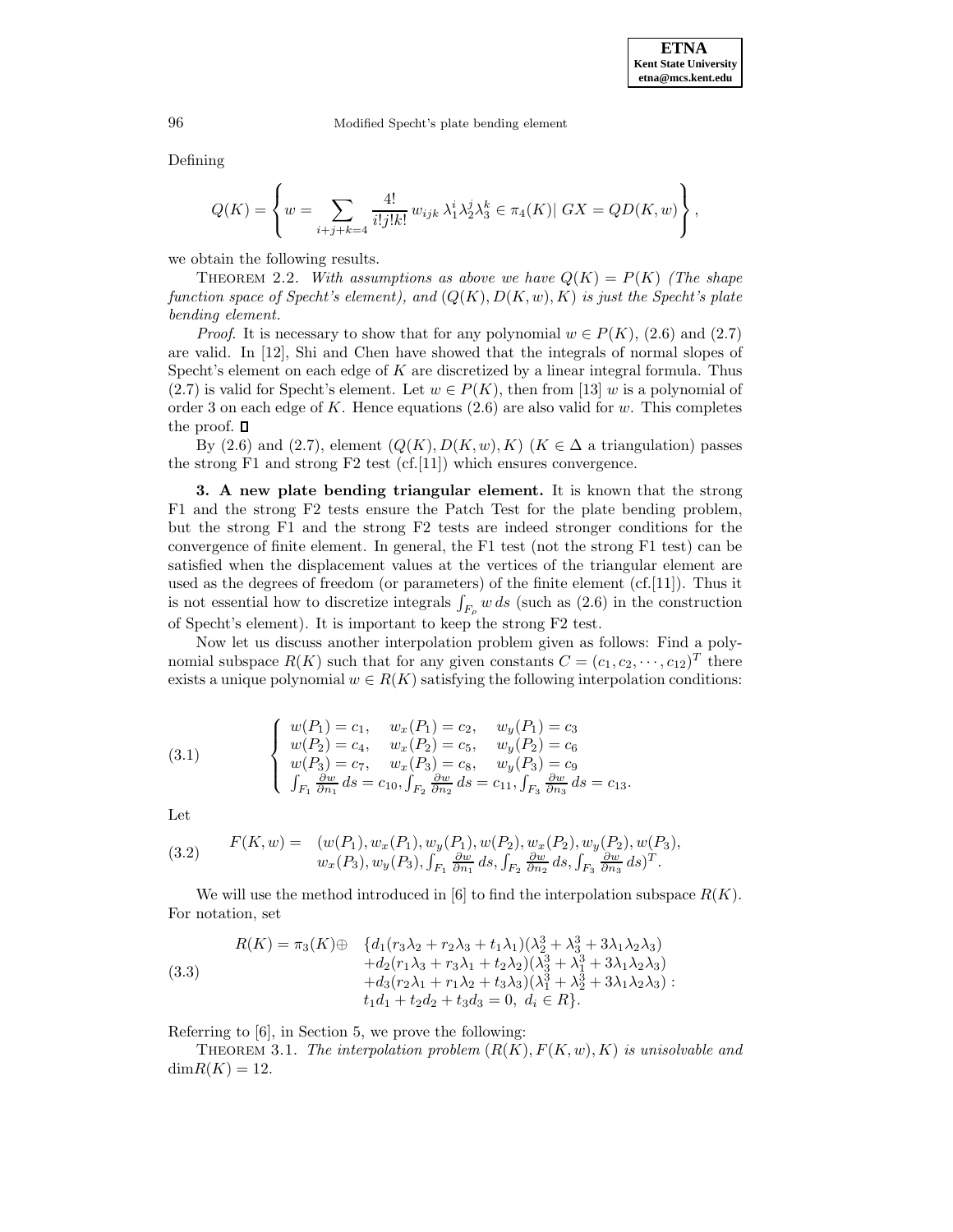Defining

$$
Q(K) = \left\{ w = \sum_{i+j+k=4} \frac{4!}{i!j!k!} w_{ijk} \lambda_1^i \lambda_2^j \lambda_3^k \in \pi_4(K) | \ GX = QD(K, w) \right\},
$$

we obtain the following results.

THEOREM 2.2. With assumptions as above we have  $Q(K) = P(K)$  (The shape function space of Specht's element), and  $(Q(K), D(K, w), K)$  is just the Specht's plate bending element.

*Proof.* It is necessary to show that for any polynomial  $w \in P(K)$ , (2.6) and (2.7) are valid. In [12], Shi and Chen have showed that the integrals of normal slopes of Specht's element on each edge of  $K$  are discretized by a linear integral formula. Thus (2.7) is valid for Specht's element. Let  $w \in P(K)$ , then from [13] w is a polynomial of order 3 on each edge of  $K$ . Hence equations  $(2.6)$  are also valid for w. This completes the proof.  $\Box$ 

By (2.6) and (2.7), element  $(Q(K), D(K, w), K)$  ( $K \in \Delta$  a triangulation) passes the strong  $F1$  and strong  $F2$  test (cf. [11]) which ensures convergence.

**3. A new plate bending triangular element.** It is known that the strong F1 and the strong F2 tests ensure the Patch Test for the plate bending problem, but the strong F1 and the strong F2 tests are indeed stronger conditions for the convergence of finite element. In general, the F1 test (not the strong F1 test) can be satisfied when the displacement values at the vertices of the triangular element are used as the degrees of freedom (or parameters) of the finite element (cf.[11]). Thus it is not essential how to discretize integrals  $\int_{F_{\rho}} w \, ds$  (such as (2.6) in the construction of Specht's element). It is important to keep the strong F2 test.

Now let us discuss another interpolation problem given as follows: Find a polynomial subspace  $R(K)$  such that for any given constants  $C = (c_1, c_2, \dots, c_{12})^T$  there exists a unique polynomial  $w \in R(K)$  satisfying the following interpolation conditions:

(3.1) 
$$
\begin{cases} w(P_1) = c_1, & w_x(P_1) = c_2, & w_y(P_1) = c_3 \\ w(P_2) = c_4, & w_x(P_2) = c_5, & w_y(P_2) = c_6 \\ w(P_3) = c_7, & w_x(P_3) = c_8, & w_y(P_3) = c_9 \\ \int_{F_1} \frac{\partial w}{\partial n_1} ds = c_{10}, \int_{F_2} \frac{\partial w}{\partial n_2} ds = c_{11}, \int_{F_3} \frac{\partial w}{\partial n_3} ds = c_{13}. \end{cases}
$$

Let

(3.2) 
$$
F(K, w) = (w(P_1), w_x(P_1), w_y(P_1), w(P_2), w_x(P_2), w_y(P_2), w(P_3), w_x(P_3), w_y(P_3), \int_{F_1} \frac{\partial w}{\partial n_1} ds, \int_{F_2} \frac{\partial w}{\partial n_2} ds, \int_{F_3} \frac{\partial w}{\partial n_3} ds)^T.
$$

We will use the method introduced in [6] to find the interpolation subspace  $R(K)$ . For notation, set

(3.3)  
\n
$$
R(K) = \pi_3(K) \oplus \begin{cases} d_1(r_3\lambda_2 + r_2\lambda_3 + t_1\lambda_1)(\lambda_2^3 + \lambda_3^3 + 3\lambda_1\lambda_2\lambda_3) \\ + d_2(r_1\lambda_3 + r_3\lambda_1 + t_2\lambda_2)(\lambda_3^3 + \lambda_1^3 + 3\lambda_1\lambda_2\lambda_3) \\ + d_3(r_2\lambda_1 + r_1\lambda_2 + t_3\lambda_3)(\lambda_1^3 + \lambda_2^3 + 3\lambda_1\lambda_2\lambda_3) \\ t_1d_1 + t_2d_2 + t_3d_3 = 0, \ d_i \in R \end{cases}
$$

Referring to [6], in Section 5, we prove the following:

THEOREM 3.1. The interpolation problem  $(R(K), F(K, w), K)$  is unisolvable and  $dimR(K) = 12.$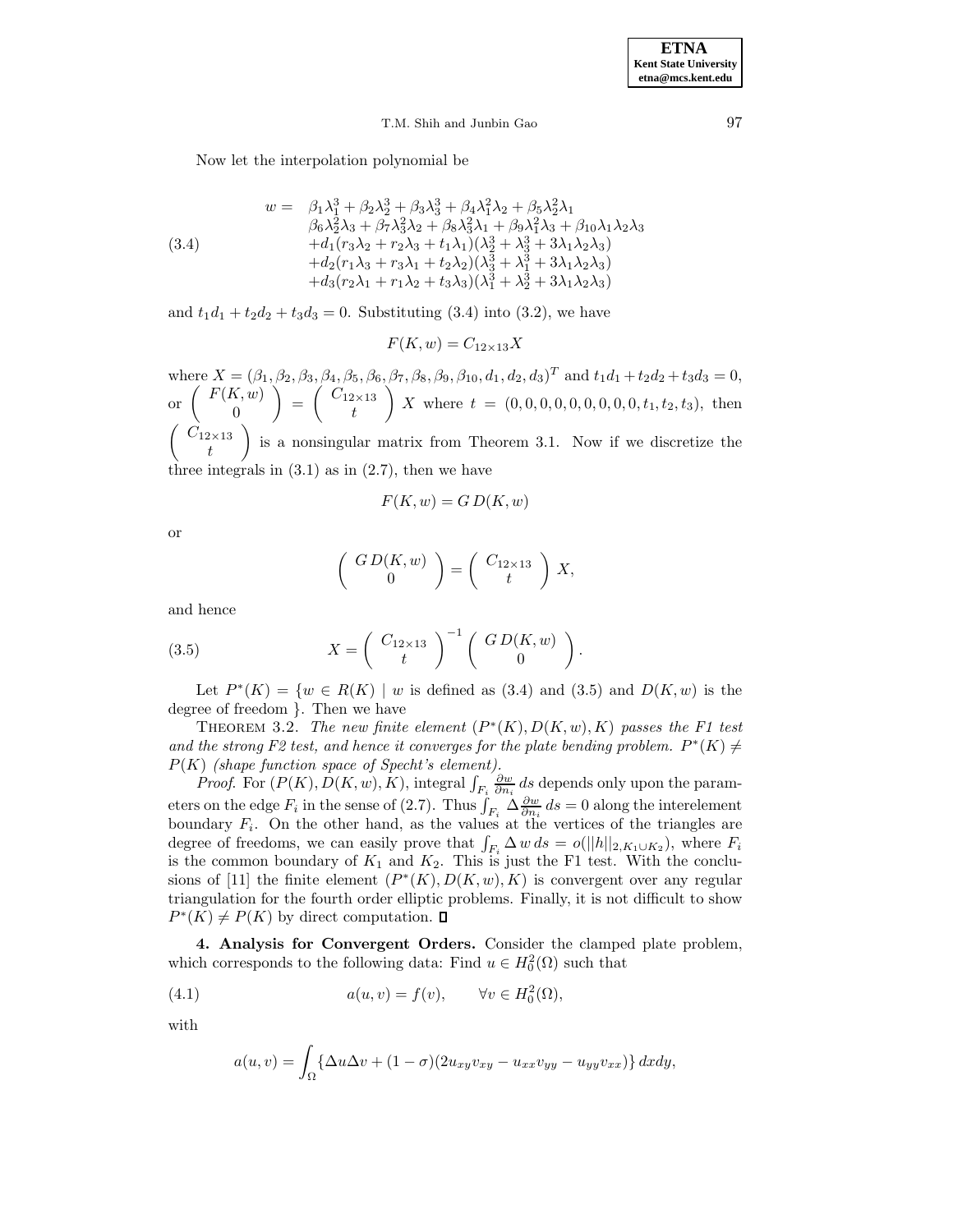Now let the interpolation polynomial be

(3.4)  
\n
$$
w = \beta_1 \lambda_1^3 + \beta_2 \lambda_2^3 + \beta_3 \lambda_3^3 + \beta_4 \lambda_1^2 \lambda_2 + \beta_5 \lambda_2^2 \lambda_1
$$
\n
$$
\beta_6 \lambda_2^2 \lambda_3 + \beta_7 \lambda_3^2 \lambda_2 + \beta_8 \lambda_3^2 \lambda_1 + \beta_9 \lambda_1^2 \lambda_3 + \beta_{10} \lambda_1 \lambda_2 \lambda_3
$$
\n
$$
+ d_1 (r_3 \lambda_2 + r_2 \lambda_3 + t_1 \lambda_1) (\lambda_2^3 + \lambda_3^3 + 3 \lambda_1 \lambda_2 \lambda_3)
$$
\n
$$
+ d_2 (r_1 \lambda_3 + r_3 \lambda_1 + t_2 \lambda_2) (\lambda_3^3 + \lambda_1^3 + 3 \lambda_1 \lambda_2 \lambda_3)
$$
\n
$$
+ d_3 (r_2 \lambda_1 + r_1 \lambda_2 + t_3 \lambda_3) (\lambda_1^3 + \lambda_2^3 + 3 \lambda_1 \lambda_2 \lambda_3)
$$

and  $t_1d_1 + t_2d_2 + t_3d_3 = 0$ . Substituting (3.4) into (3.2), we have

 $F(K, w) = C_{12 \times 13} X$ 

where  $X = (\beta_1, \beta_2, \beta_3, \beta_4, \beta_5, \beta_6, \beta_7, \beta_8, \beta_9, \beta_{10}, d_1, d_2, d_3)^T$  and  $t_1d_1 + t_2d_2 + t_3d_3 = 0$ , or  $\begin{pmatrix} F(K,w) \\ 0 \end{pmatrix}$  $\overline{\phantom{0}}$  $= \left( \begin{array}{c} C_{12\times13} \\ 1 \end{array} \right)$ t  $\overline{\phantom{0}}$ X where  $t = (0, 0, 0, 0, 0, 0, 0, 0, 0, t_1, t_2, t_3)$ , then  $\int \overrightarrow{C}_{12\times13}$ t  $\overline{ }$ is a nonsingular matrix from Theorem 3.1. Now if we discretize the three integrals in  $(3.1)$  as in  $(2.7)$ , then we have

$$
F(K, w) = G D(K, w)
$$

or

$$
\left(\begin{array}{c} G\,D(K,w) \\ 0 \end{array}\right) = \left(\begin{array}{c} C_{12\times13} \\ t \end{array}\right) X,
$$

and hence

(3.5) 
$$
X = \begin{pmatrix} C_{12\times13} \\ t \end{pmatrix}^{-1} \begin{pmatrix} GD(K, w) \\ 0 \end{pmatrix}.
$$

Let  $P^*(K) = \{w \in R(K) \mid w$  is defined as (3.4) and (3.5) and  $D(K, w)$  is the degree of freedom }. Then we have

THEOREM 3.2. The new finite element  $(P^*(K), D(K, w), K)$  passes the F1 test and the strong F2 test, and hence it converges for the plate bending problem.  $P^*(K) \neq$  $P(K)$  (shape function space of Specht's element).

*Proof.* For  $(P(K), D(K, w), K)$ , integral  $\int_{F_i} \frac{\partial w}{\partial n_i} ds$  depends only upon the parameters on the edge  $F_i$  in the sense of (2.7). Thus  $\int_{F_i} \Delta \frac{\partial w}{\partial n_i} ds = 0$  along the interelement boundary  $F_i$ . On the other hand, as the values at the vertices of the triangles are degree of freedoms, we can easily prove that  $\int_{F_i} \Delta w \, ds = o(||h||_{2, K_1 \cup K_2})$ , where  $F_i$ is the common boundary of  $K_1$  and  $K_2$ . This is just the F1 test. With the conclusions of [11] the finite element  $(P^*(K), D(K, w), K)$  is convergent over any regular triangulation for the fourth order elliptic problems. Finally, it is not difficult to show  $P^*(K) \neq P(K)$  by direct computation.  $\square$ 

**4. Analysis for Convergent Orders.** Consider the clamped plate problem, which corresponds to the following data: Find  $u \in H_0^2(\Omega)$  such that

(4.1) 
$$
a(u, v) = f(v), \qquad \forall v \in H_0^2(\Omega),
$$

with

$$
a(u,v) = \int_{\Omega} {\{\Delta u \Delta v + (1 - \sigma)(2u_{xy}v_{xy} - u_{xx}v_{yy} - u_{yy}v_{xx})\} dxdy},
$$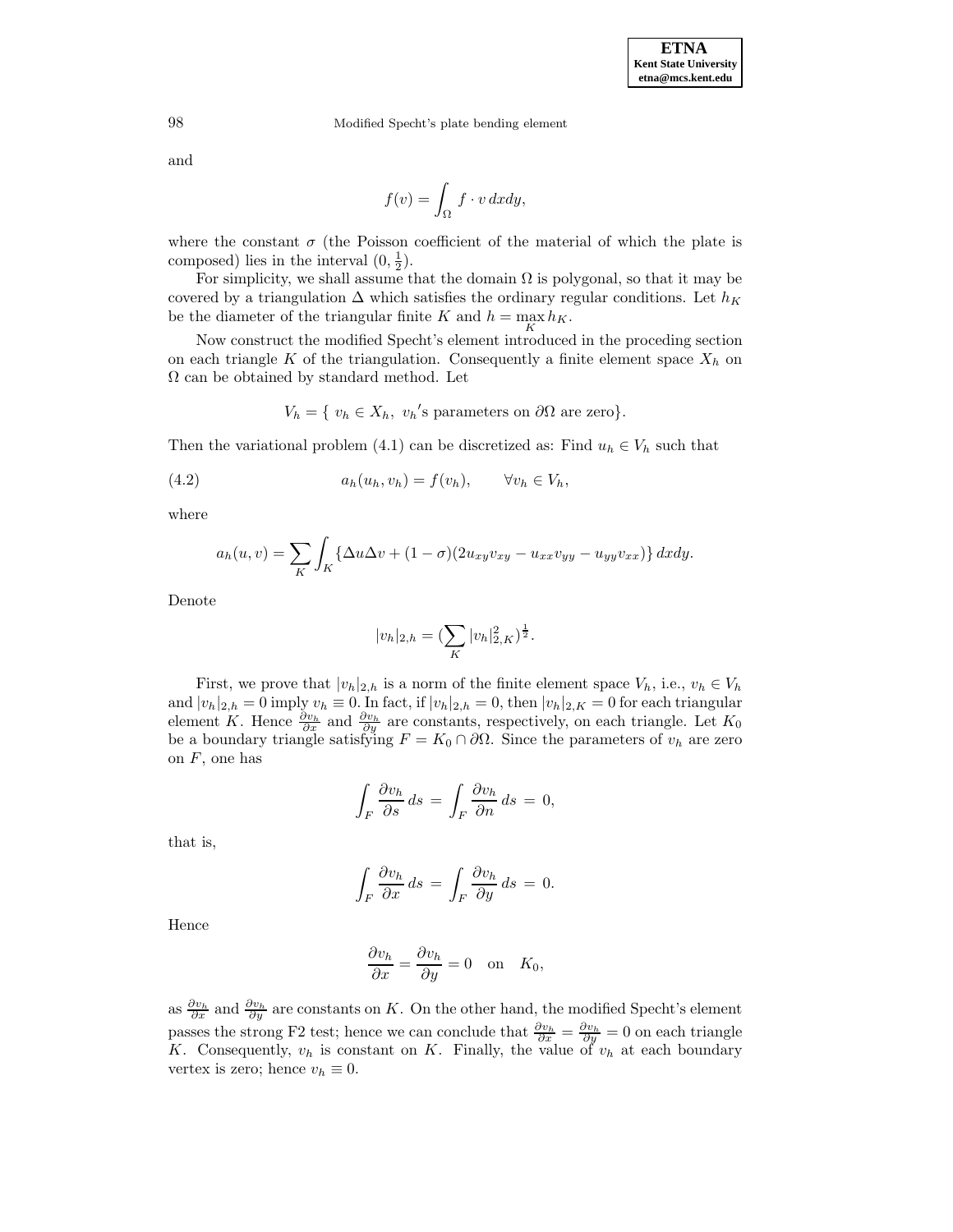and

$$
f(v) = \int_{\Omega} f \cdot v \, dxdy,
$$

where the constant  $\sigma$  (the Poisson coefficient of the material of which the plate is composed) lies in the interval  $(0, \frac{1}{2})$ .

For simplicity, we shall assume that the domain  $\Omega$  is polygonal, so that it may be covered by a triangulation  $\Delta$  which satisfies the ordinary regular conditions. Let  $h_K$ be the diameter of the triangular finite K and  $h = \max_{K} h_K$ .

Now construct the modified Specht's element introduced in the proceding section on each triangle  $K$  of the triangulation. Consequently a finite element space  $X_h$  on  $\Omega$  can be obtained by standard method. Let

 $V_h = \{ v_h \in X_h, v_h \text{'s parameters on } \partial\Omega \text{ are zero} \}.$ 

Then the variational problem (4.1) can be discretized as: Find  $u_h \in V_h$  such that

(4.2) 
$$
a_h(u_h, v_h) = f(v_h), \qquad \forall v_h \in V_h,
$$

where

$$
a_h(u,v) = \sum_K \int_K \{ \Delta u \Delta v + (1-\sigma)(2u_{xy}v_{xy} - u_{xx}v_{yy} - u_{yy}v_{xx}) \} dx dy.
$$

Denote

$$
|v_h|_{2,h} = \left(\sum_K |v_h|_{2,K}^2\right)^{\frac{1}{2}}.
$$

First, we prove that  $|v_h|_{2,h}$  is a norm of the finite element space  $V_h$ , i.e.,  $v_h \in V_h$ and  $|v_h|_{2,h} = 0$  imply  $v_h \equiv 0$ . In fact, if  $|v_h|_{2,h} = 0$ , then  $|v_h|_{2,K} = 0$  for each triangular element K. Hence  $\frac{\partial v_h}{\partial x}$  and  $\frac{\partial v_h}{\partial y}$  are constants, respectively, on each triangle. Let  $K_0$ be a boundary triangle satisfying  $F = K_0 \cap \partial\Omega$ . Since the parameters of  $v_h$  are zero on  $F$ , one has

$$
\int_{F} \frac{\partial v_h}{\partial s} ds = \int_{F} \frac{\partial v_h}{\partial n} ds = 0,
$$

that is,

$$
\int_F \frac{\partial v_h}{\partial x} ds = \int_F \frac{\partial v_h}{\partial y} ds = 0.
$$

Hence

$$
\frac{\partial v_h}{\partial x} = \frac{\partial v_h}{\partial y} = 0 \quad \text{on} \quad K_0,
$$

as  $\frac{\partial v_h}{\partial x}$  and  $\frac{\partial v_h}{\partial y}$  are constants on K. On the other hand, the modified Specht's element passes the strong F2 test; hence we can conclude that  $\frac{\partial v_h}{\partial x} = \frac{\partial v_h}{\partial y} = 0$  on each triangle K. Consequently,  $v_h$  is constant on K. Finally, the value of  $v_h$  at each boundary vertex is zero; hence  $v_h \equiv 0$ .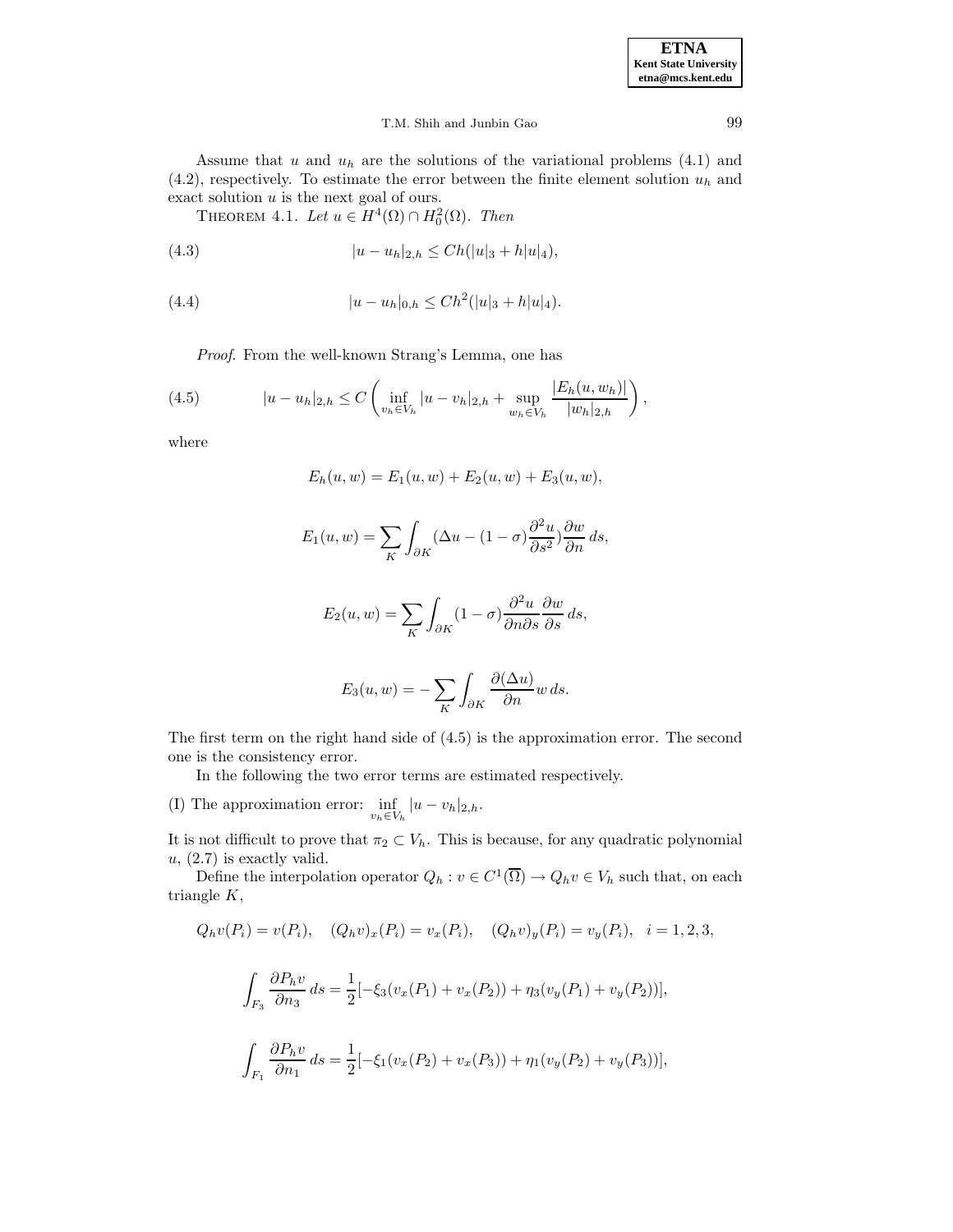Assume that u and  $u_h$  are the solutions of the variational problems  $(4.1)$  and  $(4.2)$ , respectively. To estimate the error between the finite element solution  $u<sub>h</sub>$  and exact solution  $u$  is the next goal of ours.

THEOREM 4.1. Let  $u \in H^4(\Omega) \cap H_0^2(\Omega)$ . Then

(4.3) 
$$
|u - u_h|_{2,h} \leq Ch(|u|_3 + h|u|_4),
$$

(4.4) 
$$
|u - u_h|_{0,h} \leq Ch^2(|u|_3 + h|u|_4).
$$

Proof. From the well-known Strang's Lemma, one has

(4.5) 
$$
|u - u_h|_{2,h} \leq C \left( \inf_{v_h \in V_h} |u - v_h|_{2,h} + \sup_{w_h \in V_h} \frac{|E_h(u, w_h)|}{|w_h|_{2,h}} \right),
$$

where

$$
E_h(u, w) = E_1(u, w) + E_2(u, w) + E_3(u, w),
$$

$$
E_1(u, w) = \sum_K \int_{\partial K} (\Delta u - (1 - \sigma) \frac{\partial^2 u}{\partial s^2}) \frac{\partial w}{\partial n} ds,
$$

$$
E_2(u, w) = \sum_{K} \int_{\partial K} (1 - \sigma) \frac{\partial^2 u}{\partial n \partial s} \frac{\partial w}{\partial s} ds,
$$

$$
E_3(u, w) = -\sum_{K} \int_{\partial K} \frac{\partial(\Delta u)}{\partial n} w \, ds.
$$

The first term on the right hand side of (4.5) is the approximation error. The second one is the consistency error.

In the following the two error terms are estimated respectively.

(I) The approximation error:  $\inf_{v_h \in V_h} |u - v_h|_{2,h}$ .

It is not difficult to prove that  $\pi_2 \subset V_h$ . This is because, for any quadratic polynomial  $u, (2.7)$  is exactly valid.

Define the interpolation operator  $Q_h : v \in C^1(\overline{\Omega}) \to Q_h v \in V_h$  such that, on each triangle K,

$$
Q_h v(P_i) = v(P_i), \quad (Q_h v)_x(P_i) = v_x(P_i), \quad (Q_h v)_y(P_i) = v_y(P_i), \quad i = 1, 2, 3,
$$

$$
\int_{F_3} \frac{\partial P_h v}{\partial n_3} ds = \frac{1}{2} \left[ -\xi_3 (v_x(P_1) + v_x(P_2)) + \eta_3 (v_y(P_1) + v_y(P_2)) \right],
$$
  

$$
\int_{F_1} \frac{\partial P_h v}{\partial n_1} ds = \frac{1}{2} \left[ -\xi_1 (v_x(P_2) + v_x(P_3)) + \eta_1 (v_y(P_2) + v_y(P_3)) \right],
$$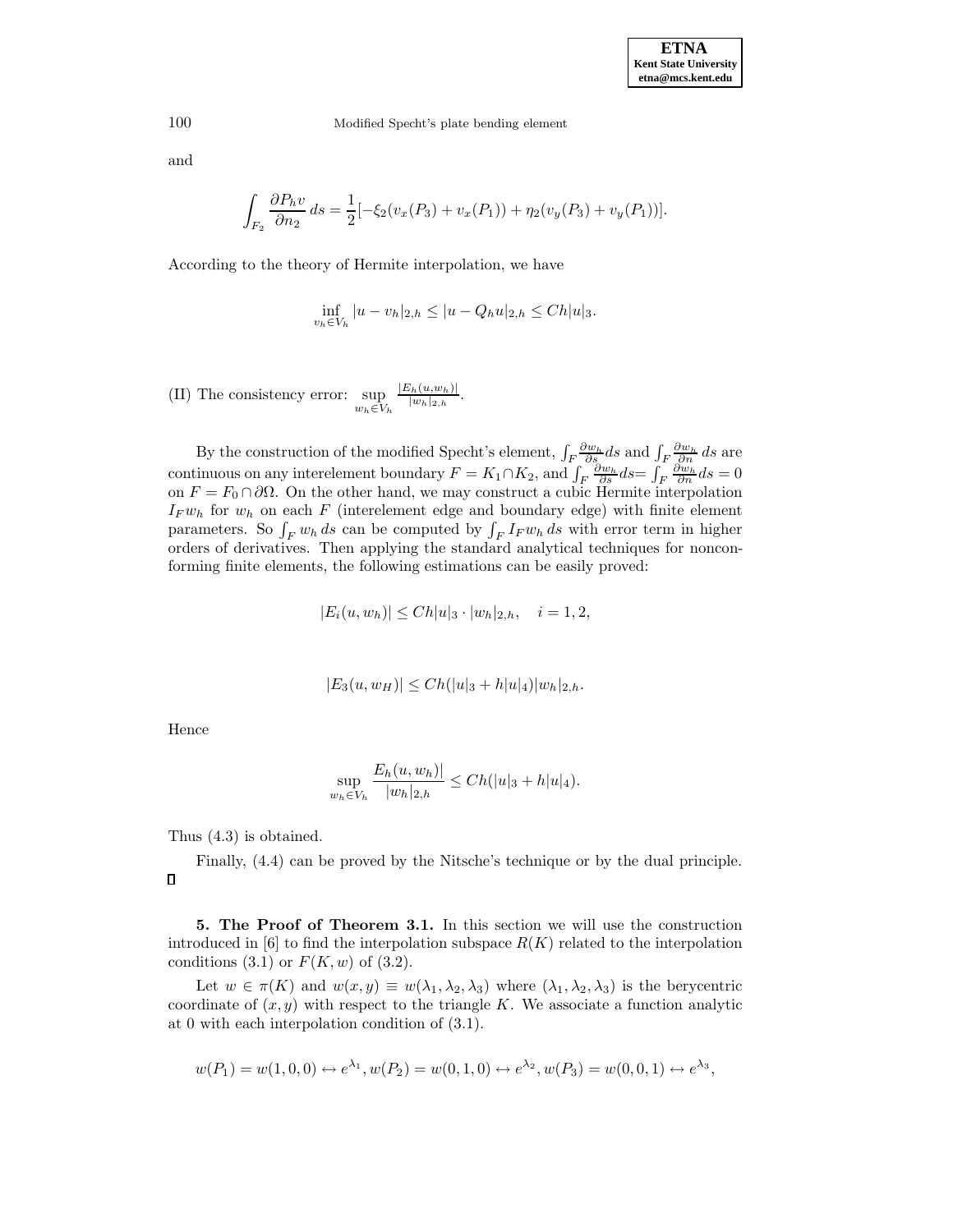and

$$
\int_{F_2} \frac{\partial P_h v}{\partial n_2} ds = \frac{1}{2} \left[ -\xi_2 (v_x(P_3) + v_x(P_1)) + \eta_2 (v_y(P_3) + v_y(P_1)) \right].
$$

According to the theory of Hermite interpolation, we have

$$
\inf_{v_h \in V_h} |u - v_h|_{2,h} \le |u - Q_h u|_{2,h} \le Ch|u|_3.
$$

(II) The consistency error: sup  $w_h \in V_h$  $\frac{|E_h(u,w_h)|}{|w_h|_{2,h}}$ .

By the construction of the modified Specht's element,  $\int_F \frac{\partial w_h}{\partial s} ds$  and  $\int_F \frac{\partial w_h}{\partial n} ds$  are continuous on any interelement boundary  $F = K_1 \cap K_2$ , and  $\int_F \frac{\partial w_h}{\partial s} ds = \int_F \frac{\partial w_h}{\partial n} ds = 0$ on  $F = F_0 \cap \partial \Omega$ . On the other hand, we may construct a cubic Hermite interpolation  $I_F w_h$  for  $w_h$  on each F (interelement edge and boundary edge) with finite element parameters. So  $\int_F w_h ds$  can be computed by  $\int_F I_F w_h ds$  with error term in higher orders of derivatives. Then applying the standard analytical techniques for nonconforming finite elements, the following estimations can be easily proved:

$$
|E_i(u, w_h)| \leq Ch |u|_3 \cdot |w_h|_{2,h}, \quad i = 1, 2,
$$

$$
|E_3(u, w_H)| \leq Ch(|u|_3 + h|u|_4)|w_h|_{2,h}.
$$

Hence

$$
\sup_{w_h \in V_h} \frac{E_h(u, w_h)|}{|w_h|_{2,h}} \le Ch(|u|_3 + h|u|_4).
$$

Thus (4.3) is obtained.

Finally, (4.4) can be proved by the Nitsche's technique or by the dual principle.  $\Box$ 

**5. The Proof of Theorem 3.1.** In this section we will use the construction introduced in [6] to find the interpolation subspace  $R(K)$  related to the interpolation conditions  $(3.1)$  or  $F(K, w)$  of  $(3.2)$ .

Let  $w \in \pi(K)$  and  $w(x, y) \equiv w(\lambda_1, \lambda_2, \lambda_3)$  where  $(\lambda_1, \lambda_2, \lambda_3)$  is the berycentric coordinate of  $(x, y)$  with respect to the triangle K. We associate a function analytic at 0 with each interpolation condition of (3.1).

$$
w(P_1) = w(1,0,0) \leftrightarrow e^{\lambda_1}, w(P_2) = w(0,1,0) \leftrightarrow e^{\lambda_2}, w(P_3) = w(0,0,1) \leftrightarrow e^{\lambda_3},
$$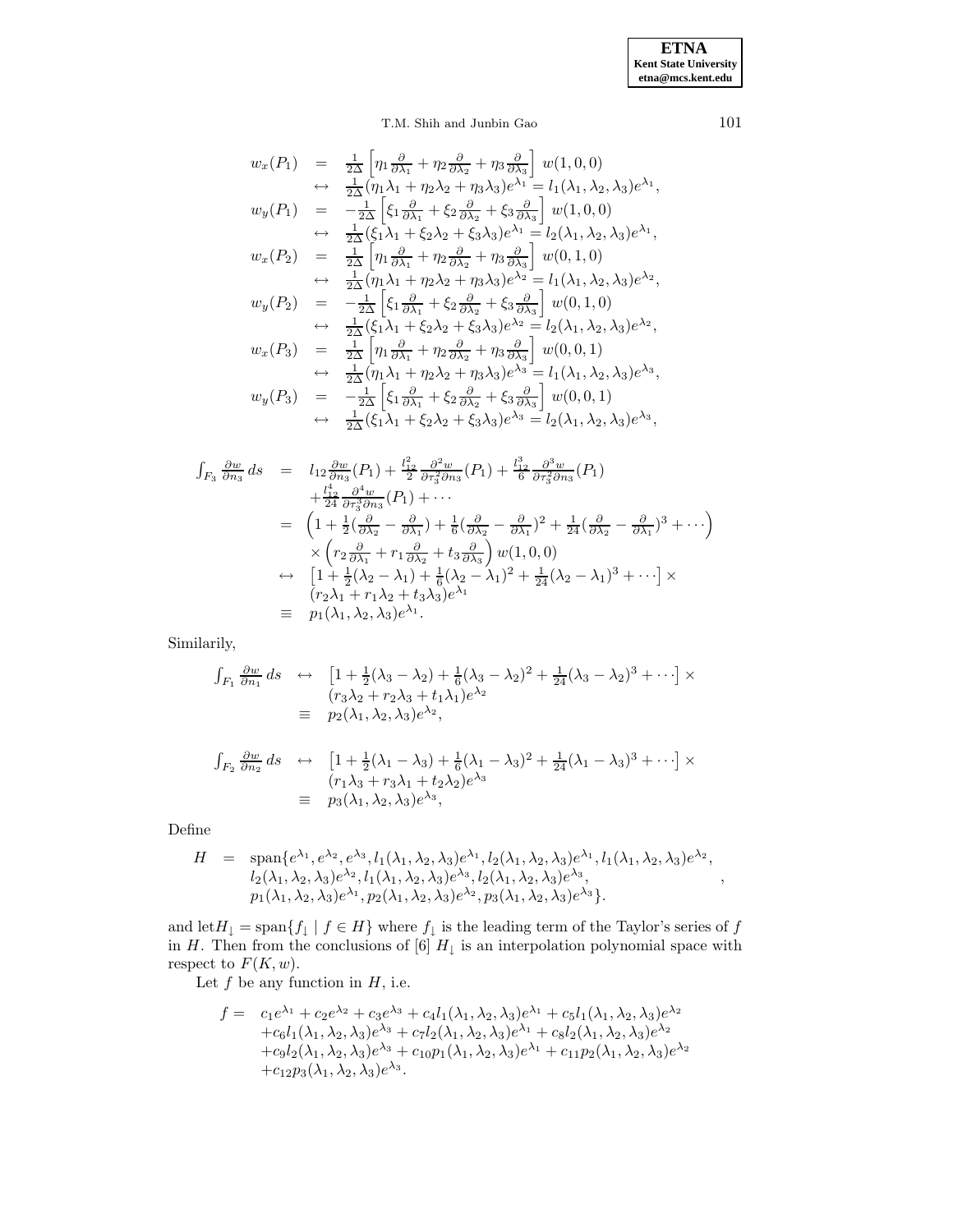$$
w_x(P_1) = \frac{1}{2\Delta} \left[ \eta_1 \frac{\partial}{\partial \lambda_1} + \eta_2 \frac{\partial}{\partial \lambda_2} + \eta_3 \frac{\partial}{\partial \lambda_3} \right] w(1,0,0)
$$
  
\n
$$
\leftrightarrow \frac{1}{2\Delta} (\eta_1 \lambda_1 + \eta_2 \lambda_2 + \eta_3 \lambda_3) e^{\lambda_1} = l_1(\lambda_1, \lambda_2, \lambda_3) e^{\lambda_1},
$$
  
\n
$$
w_y(P_1) = -\frac{1}{2\Delta} \left[ \xi_1 \frac{\partial}{\partial \lambda_1} + \xi_2 \frac{\partial}{\partial \lambda_2} + \xi_3 \frac{\partial}{\partial \lambda_3} \right] w(1,0,0)
$$
  
\n
$$
\leftrightarrow \frac{1}{2\Delta} (\xi_1 \lambda_1 + \xi_2 \lambda_2 + \xi_3 \lambda_3) e^{\lambda_1} = l_2(\lambda_1, \lambda_2, \lambda_3) e^{\lambda_1},
$$
  
\n
$$
w_x(P_2) = \frac{1}{2\Delta} \left[ \eta_1 \frac{\partial}{\partial \lambda_1} + \eta_2 \frac{\partial}{\partial \lambda_2} + \eta_3 \frac{\partial}{\partial \lambda_3} \right] w(0,1,0)
$$
  
\n
$$
\leftrightarrow \frac{1}{2\Delta} (\eta_1 \lambda_1 + \eta_2 \lambda_2 + \eta_3 \lambda_3) e^{\lambda_2} = l_1(\lambda_1, \lambda_2, \lambda_3) e^{\lambda_2},
$$
  
\n
$$
w_y(P_2) = -\frac{1}{2\Delta} \left[ \xi_1 \frac{\partial}{\partial \lambda_1} + \xi_2 \frac{\partial}{\partial \lambda_2} + \xi_3 \frac{\partial}{\partial \lambda_3} \right] w(0,1,0)
$$
  
\n
$$
\leftrightarrow \frac{1}{2\Delta} (\xi_1 \lambda_1 + \xi_2 \lambda_2 + \xi_3 \lambda_3) e^{\lambda_2} = l_2(\lambda_1, \lambda_2, \lambda_3) e^{\lambda_2},
$$
  
\n
$$
w_x(P_3) = \frac{1}{2\Delta} \left[ \eta_1 \frac{\partial}{\partial \lambda_1} + \eta_2 \frac{\partial}{\partial \lambda_2} + \eta_3 \frac{\partial}{\partial \
$$

$$
\int_{F_3} \frac{\partial w}{\partial n_3} ds = l_{12} \frac{\partial w}{\partial n_3} (P_1) + \frac{l_{12}^2}{2} \frac{\partial^2 w}{\partial r_3^2 \partial n_3} (P_1) + \frac{l_{12}^3}{6} \frac{\partial^3 w}{\partial r_3^2 \partial n_3} (P_1) \n+ \frac{l_{12}^4}{24} \frac{\partial^4 w}{\partial r_3^3 \partial n_3} (P_1) + \cdots \n= \left(1 + \frac{1}{2} (\frac{\partial}{\partial \lambda_2} - \frac{\partial}{\partial \lambda_1}) + \frac{1}{6} (\frac{\partial}{\partial \lambda_2} - \frac{\partial}{\partial \lambda_1})^2 + \frac{1}{24} (\frac{\partial}{\partial \lambda_2} - \frac{\partial}{\partial \lambda_1})^3 + \cdots \right) \n\times \left( r_2 \frac{\partial}{\partial \lambda_1} + r_1 \frac{\partial}{\partial \lambda_2} + t_3 \frac{\partial}{\partial \lambda_3} \right) w(1,0,0) \n\leftrightarrow \left[1 + \frac{1}{2} (\lambda_2 - \lambda_1) + \frac{1}{6} (\lambda_2 - \lambda_1)^2 + \frac{1}{24} (\lambda_2 - \lambda_1)^3 + \cdots \right] \times \n\left( r_2 \lambda_1 + r_1 \lambda_2 + t_3 \lambda_3 \right) e^{\lambda_1} \n\equiv p_1(\lambda_1, \lambda_2, \lambda_3) e^{\lambda_1}.
$$

Similarily,

$$
\int_{F_1} \frac{\partial w}{\partial n_1} ds \quad \leftrightarrow \quad \left[ 1 + \frac{1}{2} (\lambda_3 - \lambda_2) + \frac{1}{6} (\lambda_3 - \lambda_2)^2 + \frac{1}{24} (\lambda_3 - \lambda_2)^3 + \cdots \right] \times
$$
\n
$$
\begin{array}{rcl} (r_3 \lambda_2 + r_2 \lambda_3 + t_1 \lambda_1) e^{\lambda_2} \\ \equiv & p_2(\lambda_1, \lambda_2, \lambda_3) e^{\lambda_2}, \end{array}
$$

$$
\int_{F_2} \frac{\partial w}{\partial n_2} ds \quad \leftrightarrow \quad \left[ 1 + \frac{1}{2} (\lambda_1 - \lambda_3) + \frac{1}{6} (\lambda_1 - \lambda_3)^2 + \frac{1}{24} (\lambda_1 - \lambda_3)^3 + \cdots \right] \times \n= \quad (r_1 \lambda_3 + r_3 \lambda_1 + t_2 \lambda_2) e^{\lambda_3} \n\equiv \quad p_3(\lambda_1, \lambda_2, \lambda_3) e^{\lambda_3},
$$

Define

$$
H = \text{span}\{e^{\lambda_1}, e^{\lambda_2}, e^{\lambda_3}, l_1(\lambda_1, \lambda_2, \lambda_3)e^{\lambda_1}, l_2(\lambda_1, \lambda_2, \lambda_3)e^{\lambda_1}, l_1(\lambda_1, \lambda_2, \lambda_3)e^{\lambda_2}, \\ l_2(\lambda_1, \lambda_2, \lambda_3)e^{\lambda_2}, l_1(\lambda_1, \lambda_2, \lambda_3)e^{\lambda_3}, l_2(\lambda_1, \lambda_2, \lambda_3)e^{\lambda_3}, \\ p_1(\lambda_1, \lambda_2, \lambda_3)e^{\lambda_1}, p_2(\lambda_1, \lambda_2, \lambda_3)e^{\lambda_2}, p_3(\lambda_1, \lambda_2, \lambda_3)e^{\lambda_3}\}.
$$

and  $\text{let } H_{\downarrow} = \text{span}\{f_{\downarrow} \mid f \in H\}$  where  $f_{\downarrow}$  is the leading term of the Taylor's series of f in H. Then from the conclusions of [6]  $H_{\downarrow}$  is an interpolation polynomial space with respect to  $F(K, w)$ .

Let  $f$  be any function in  $H$ , i.e.

$$
f = c_1e^{\lambda_1} + c_2e^{\lambda_2} + c_3e^{\lambda_3} + c_4l_1(\lambda_1, \lambda_2, \lambda_3)e^{\lambda_1} + c_5l_1(\lambda_1, \lambda_2, \lambda_3)e^{\lambda_2} + c_6l_1(\lambda_1, \lambda_2, \lambda_3)e^{\lambda_3} + c_7l_2(\lambda_1, \lambda_2, \lambda_3)e^{\lambda_1} + c_8l_2(\lambda_1, \lambda_2, \lambda_3)e^{\lambda_2} + c_9l_2(\lambda_1, \lambda_2, \lambda_3)e^{\lambda_3} + c_{10}p_1(\lambda_1, \lambda_2, \lambda_3)e^{\lambda_1} + c_{11}p_2(\lambda_1, \lambda_2, \lambda_3)e^{\lambda_2} + c_{12}p_3(\lambda_1, \lambda_2, \lambda_3)e^{\lambda_3}.
$$

,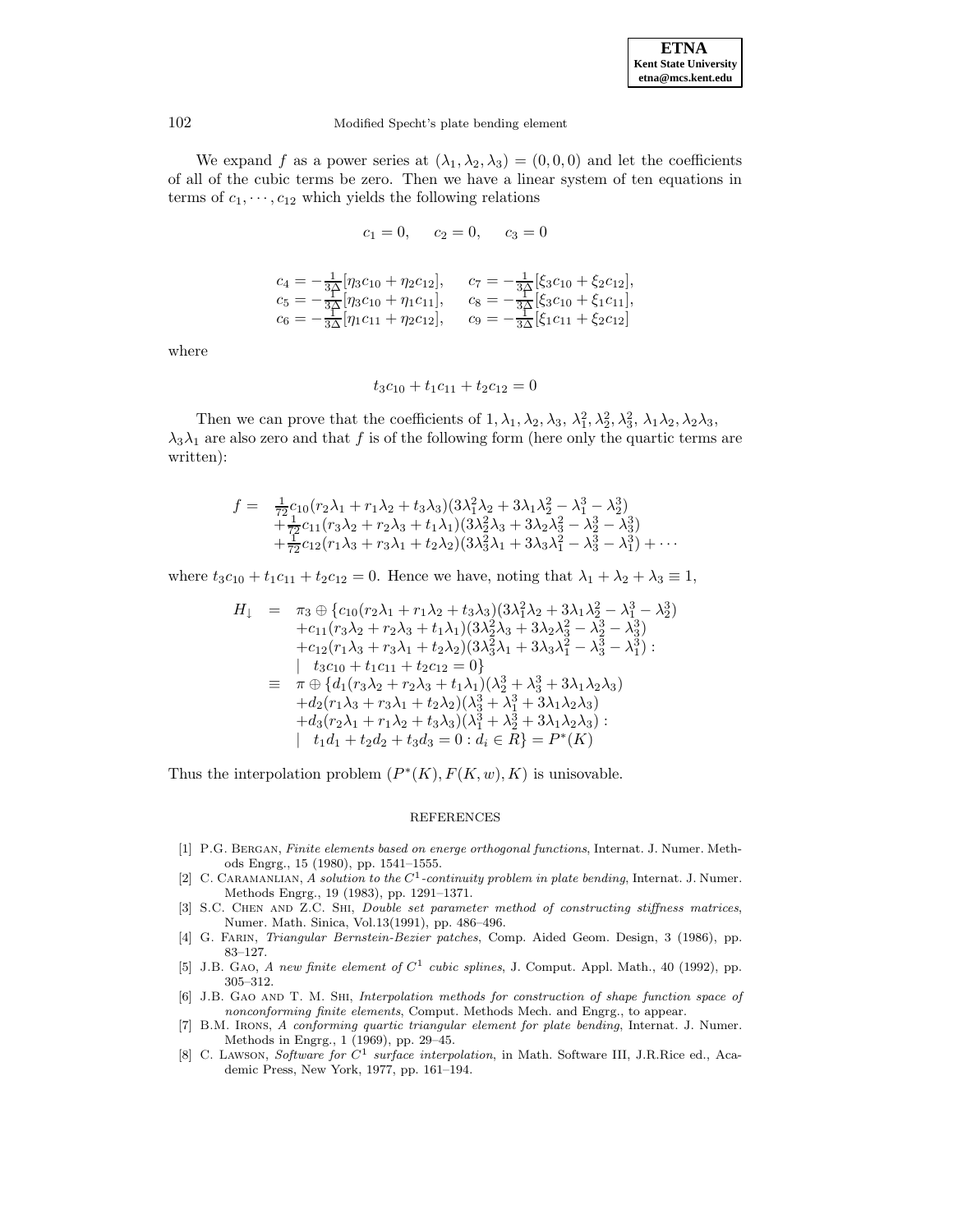We expand f as a power series at  $(\lambda_1, \lambda_2, \lambda_3) = (0, 0, 0)$  and let the coefficients of all of the cubic terms be zero. Then we have a linear system of ten equations in terms of  $c_1, \dots, c_{12}$  which yields the following relations

$$
c_1 = 0, \quad c_2 = 0, \quad c_3 = 0
$$

$$
\begin{array}{ll}\nc_4 = -\frac{1}{3}\left[\eta_3 c_{10} + \eta_2 c_{12}\right], & c_7 = -\frac{1}{3}\left[\xi_3 c_{10} + \xi_2 c_{12}\right], \\
c_5 = -\frac{1}{3}\left[\eta_3 c_{10} + \eta_1 c_{11}\right], & c_8 = -\frac{1}{3}\left[\xi_3 c_{10} + \xi_1 c_{11}\right], \\
c_6 = -\frac{1}{3}\left[\eta_1 c_{11} + \eta_2 c_{12}\right], & c_9 = -\frac{1}{3}\left[\xi_1 c_{11} + \xi_2 c_{12}\right]\n\end{array}
$$

where

$$
t_3c_{10} + t_1c_{11} + t_2c_{12} = 0
$$

Then we can prove that the coefficients of  $1, \lambda_1, \lambda_2, \lambda_3, \lambda_1^2, \lambda_2^2, \lambda_3^2, \lambda_1 \lambda_2, \lambda_2 \lambda_3$ ,  $\lambda_3\lambda_1$  are also zero and that f is of the following form (here only the quartic terms are written):

$$
f = \frac{1}{72}c_{10}(r_2\lambda_1 + r_1\lambda_2 + t_3\lambda_3)(3\lambda_1^2\lambda_2 + 3\lambda_1\lambda_2^2 - \lambda_1^3 - \lambda_2^3) + \frac{1}{72}c_{11}(r_3\lambda_2 + r_2\lambda_3 + t_1\lambda_1)(3\lambda_2^2\lambda_3 + 3\lambda_2\lambda_3^2 - \lambda_2^3 - \lambda_3^3) + \frac{1}{72}c_{12}(r_1\lambda_3 + r_3\lambda_1 + t_2\lambda_2)(3\lambda_3^2\lambda_1 + 3\lambda_3\lambda_1^2 - \lambda_3^3 - \lambda_1^3) + \cdots
$$

where  $t_3c_{10} + t_1c_{11} + t_2c_{12} = 0$ . Hence we have, noting that  $\lambda_1 + \lambda_2 + \lambda_3 \equiv 1$ ,

$$
H_{\downarrow} = \pi_3 \oplus \{c_{10}(r_2\lambda_1 + r_1\lambda_2 + t_3\lambda_3)(3\lambda_1^2\lambda_2 + 3\lambda_1\lambda_2^2 - \lambda_1^3 - \lambda_2^3) + c_{11}(r_3\lambda_2 + r_2\lambda_3 + t_1\lambda_1)(3\lambda_2^2\lambda_3 + 3\lambda_2\lambda_3^2 - \lambda_2^3 - \lambda_3^3) + c_{12}(r_1\lambda_3 + r_3\lambda_1 + t_2\lambda_2)(3\lambda_3^2\lambda_1 + 3\lambda_3\lambda_1^2 - \lambda_3^3 - \lambda_1^3) + t_3c_{10} + t_1c_{11} + t_2c_{12} = 0 \} = \pi \oplus \{d_1(r_3\lambda_2 + r_2\lambda_3 + t_1\lambda_1)(\lambda_2^3 + \lambda_3^3 + 3\lambda_1\lambda_2\lambda_3) + d_2(r_1\lambda_3 + r_3\lambda_1 + t_2\lambda_2)(\lambda_3^3 + \lambda_1^3 + 3\lambda_1\lambda_2\lambda_3) + d_3(r_2\lambda_1 + r_1\lambda_2 + t_3\lambda_3)(\lambda_1^3 + \lambda_2^3 + 3\lambda_1\lambda_2\lambda_3) + t_1d_1 + t_2d_2 + t_3d_3 = 0 : d_i \in R \} = P^*(K)
$$

Thus the interpolation problem  $(P^*(K), F(K, w), K)$  is unisovable.

#### REFERENCES

- [1] P.G. Bergan, Finite elements based on energe orthogonal functions, Internat. J. Numer. Methods Engrg., 15 (1980), pp. 1541–1555.
- [2] C. CARAMANLIAN, A solution to the  $C^1$ -continuity problem in plate bending, Internat. J. Numer. Methods Engrg., 19 (1983), pp. 1291–1371.
- [3] S.C. Chen and Z.C. Shi, Double set parameter method of constructing stiffness matrices, Numer. Math. Sinica, Vol.13(1991), pp. 486–496.
- [4] G. Farin, Triangular Bernstein-Bezier patches, Comp. Aided Geom. Design, 3 (1986), pp. 83–127.
- [5] J.B. GAO, A new finite element of  $C^1$  cubic splines, J. Comput. Appl. Math., 40 (1992), pp. 305–312.
- [6] J.B. GAO AND T. M. SHI, Interpolation methods for construction of shape function space of nonconforming finite elements, Comput. Methods Mech. and Engrg., to appear.
- [7] B.M. Irons, A conforming quartic triangular element for plate bending, Internat. J. Numer. Methods in Engrg., 1 (1969), pp. 29–45.
- [8] C. LAWSON, Software for  $C^1$  surface interpolation, in Math. Software III, J.R.Rice ed., Academic Press, New York, 1977, pp. 161–194.